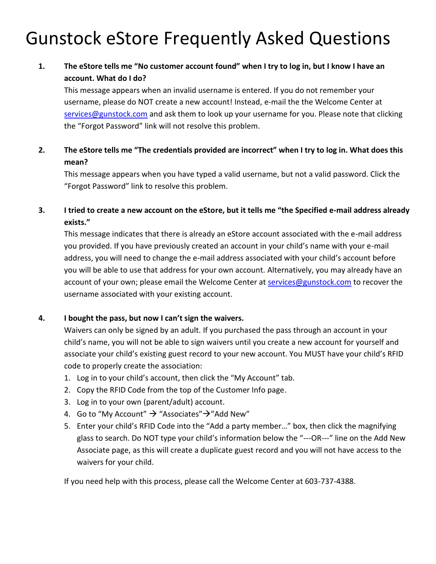# Gunstock eStore Frequently Asked Questions

## **1. The eStore tells me "No customer account found" when I try to log in, but I know I have an account. What do I do?**

This message appears when an invalid username is entered. If you do not remember your username, please do NOT create a new account! Instead, e-mail the the Welcome Center at [services@gunstock.com](mailto:services@gunstock.com) and ask them to look up your username for you. Please note that clicking the "Forgot Password" link will not resolve this problem.

**2. The eStore tells me "The credentials provided are incorrect" when I try to log in. What does this mean?**

This message appears when you have typed a valid username, but not a valid password. Click the "Forgot Password" link to resolve this problem.

**3. I tried to create a new account on the eStore, but it tells me "the Specified e-mail address already exists."**

This message indicates that there is already an eStore account associated with the e-mail address you provided. If you have previously created an account in your child's name with your e-mail address, you will need to change the e-mail address associated with your child's account before you will be able to use that address for your own account. Alternatively, you may already have an account of your own; please email the Welcome Center at [services@gunstock.com](mailto:services@gunstock.com) to recover the username associated with your existing account.

## **4. I bought the pass, but now I can't sign the waivers.**

Waivers can only be signed by an adult. If you purchased the pass through an account in your child's name, you will not be able to sign waivers until you create a new account for yourself and associate your child's existing guest record to your new account. You MUST have your child's RFID code to properly create the association:

- 1. Log in to your child's account, then click the "My Account" tab.
- 2. Copy the RFID Code from the top of the Customer Info page.
- 3. Log in to your own (parent/adult) account.
- 4. Go to "My Account"  $\rightarrow$  "Associates" $\rightarrow$ "Add New"
- 5. Enter your child's RFID Code into the "Add a party member…" box, then click the magnifying glass to search. Do NOT type your child's information below the "---OR---" line on the Add New Associate page, as this will create a duplicate guest record and you will not have access to the waivers for your child.

If you need help with this process, please call the Welcome Center at 603-737-4388.